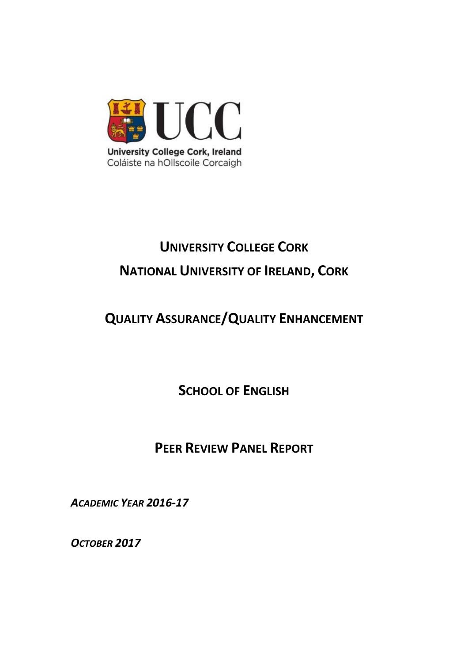

# **UNIVERSITY COLLEGE CORK NATIONAL UNIVERSITY OF IRELAND, CORK**

## **QUALITY ASSURANCE/QUALITY ENHANCEMENT**

**SCHOOL OF ENGLISH**

### **PEER REVIEW PANEL REPORT**

*ACADEMIC YEAR 2016-17*

*OCTOBER 2017*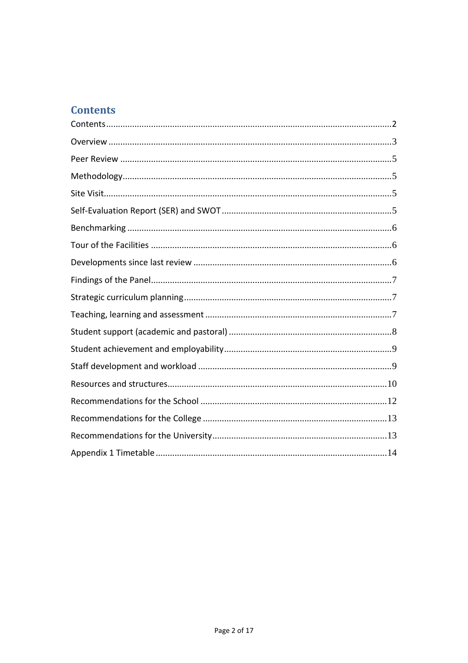### <span id="page-1-0"></span>**Contents**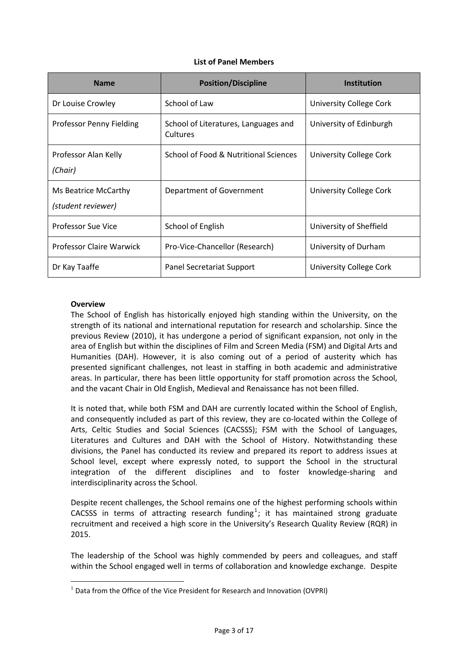#### **List of Panel Members**

| <b>Name</b>                                | <b>Position/Discipline</b>                       | <b>Institution</b>      |
|--------------------------------------------|--------------------------------------------------|-------------------------|
| Dr Louise Crowley                          | School of Law                                    | University College Cork |
| Professor Penny Fielding                   | School of Literatures, Languages and<br>Cultures | University of Edinburgh |
| Professor Alan Kelly<br>(Chair)            | School of Food & Nutritional Sciences            | University College Cork |
| Ms Beatrice McCarthy<br>(student reviewer) | Department of Government                         | University College Cork |
| Professor Sue Vice                         | School of English                                | University of Sheffield |
| Professor Claire Warwick                   | Pro-Vice-Chancellor (Research)                   | University of Durham    |
| Dr Kay Taaffe                              | Panel Secretariat Support                        | University College Cork |

#### <span id="page-2-0"></span>**Overview**

 $\overline{a}$ 

The School of English has historically enjoyed high standing within the University, on the strength of its national and international reputation for research and scholarship. Since the previous Review (2010), it has undergone a period of significant expansion, not only in the area of English but within the disciplines of Film and Screen Media (FSM) and Digital Arts and Humanities (DAH). However, it is also coming out of a period of austerity which has presented significant challenges, not least in staffing in both academic and administrative areas. In particular, there has been little opportunity for staff promotion across the School, and the vacant Chair in Old English, Medieval and Renaissance has not been filled.

It is noted that, while both FSM and DAH are currently located within the School of English, and consequently included as part of this review, they are co-located within the College of Arts, Celtic Studies and Social Sciences (CACSSS); FSM with the School of Languages, Literatures and Cultures and DAH with the School of History. Notwithstanding these divisions, the Panel has conducted its review and prepared its report to address issues at School level, except where expressly noted, to support the School in the structural integration of the different disciplines and to foster knowledge-sharing and interdisciplinarity across the School.

Despite recent challenges, the School remains one of the highest performing schools within CACSSS in terms of attracting research funding<sup>1</sup>; it has maintained strong graduate recruitment and received a high score in the University's Research Quality Review (RQR) in 2015.

The leadership of the School was highly commended by peers and colleagues, and staff within the School engaged well in terms of collaboration and knowledge exchange. Despite

 $1$  Data from the Office of the Vice President for Research and Innovation (OVPRI)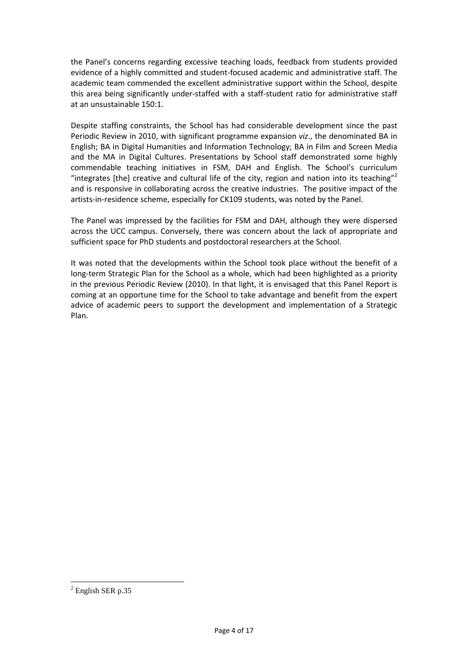the Panel's concerns regarding excessive teaching loads, feedback from students provided evidence of a highly committed and student-focused academic and administrative staff. The academic team commended the excellent administrative support within the School, despite this area being significantly under-staffed with a staff-student ratio for administrative staff at an unsustainable 150:1.

Despite staffing constraints, the School has had considerable development since the past Periodic Review in 2010, with significant programme expansion *viz*., the denominated BA in English; BA in Digital Humanities and Information Technology; BA in Film and Screen Media and the MA in Digital Cultures. Presentations by School staff demonstrated some highly commendable teaching initiatives in FSM, DAH and English. The School's curriculum "integrates [the] creative and cultural life of the city, region and nation into its teaching" and is responsive in collaborating across the creative industries. The positive impact of the artists-in-residence scheme, especially for CK109 students, was noted by the Panel.

The Panel was impressed by the facilities for FSM and DAH, although they were dispersed across the UCC campus. Conversely, there was concern about the lack of appropriate and sufficient space for PhD students and postdoctoral researchers at the School.

It was noted that the developments within the School took place without the benefit of a long-term Strategic Plan for the School as a whole, which had been highlighted as a priority in the previous Periodic Review (2010). In that light, it is envisaged that this Panel Report is coming at an opportune time for the School to take advantage and benefit from the expert advice of academic peers to support the development and implementation of a Strategic Plan.

 $\overline{a}$ 

 $2$  English SER p.35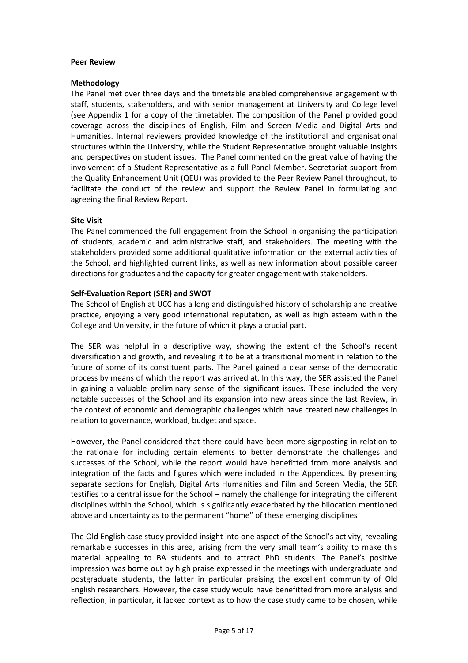#### <span id="page-4-0"></span>**Peer Review**

#### <span id="page-4-1"></span>**Methodology**

The Panel met over three days and the timetable enabled comprehensive engagement with staff, students, stakeholders, and with senior management at University and College level (see Appendix 1 for a copy of the timetable). The composition of the Panel provided good coverage across the disciplines of English, Film and Screen Media and Digital Arts and Humanities. Internal reviewers provided knowledge of the institutional and organisational structures within the University, while the Student Representative brought valuable insights and perspectives on student issues. The Panel commented on the great value of having the involvement of a Student Representative as a full Panel Member. Secretariat support from the Quality Enhancement Unit (QEU) was provided to the Peer Review Panel throughout, to facilitate the conduct of the review and support the Review Panel in formulating and agreeing the final Review Report.

#### <span id="page-4-2"></span>**Site Visit**

The Panel commended the full engagement from the School in organising the participation of students, academic and administrative staff, and stakeholders. The meeting with the stakeholders provided some additional qualitative information on the external activities of the School, and highlighted current links, as well as new information about possible career directions for graduates and the capacity for greater engagement with stakeholders.

#### <span id="page-4-3"></span>**Self-Evaluation Report (SER) and SWOT**

The School of English at UCC has a long and distinguished history of scholarship and creative practice, enjoying a very good international reputation, as well as high esteem within the College and University, in the future of which it plays a crucial part.

The SER was helpful in a descriptive way, showing the extent of the School's recent diversification and growth, and revealing it to be at a transitional moment in relation to the future of some of its constituent parts. The Panel gained a clear sense of the democratic process by means of which the report was arrived at. In this way, the SER assisted the Panel in gaining a valuable preliminary sense of the significant issues. These included the very notable successes of the School and its expansion into new areas since the last Review, in the context of economic and demographic challenges which have created new challenges in relation to governance, workload, budget and space.

However, the Panel considered that there could have been more signposting in relation to the rationale for including certain elements to better demonstrate the challenges and successes of the School, while the report would have benefitted from more analysis and integration of the facts and figures which were included in the Appendices. By presenting separate sections for English, Digital Arts Humanities and Film and Screen Media, the SER testifies to a central issue for the School – namely the challenge for integrating the different disciplines within the School, which is significantly exacerbated by the bilocation mentioned above and uncertainty as to the permanent "home" of these emerging disciplines

The Old English case study provided insight into one aspect of the School's activity, revealing remarkable successes in this area, arising from the very small team's ability to make this material appealing to BA students and to attract PhD students. The Panel's positive impression was borne out by high praise expressed in the meetings with undergraduate and postgraduate students, the latter in particular praising the excellent community of Old English researchers. However, the case study would have benefitted from more analysis and reflection; in particular, it lacked context as to how the case study came to be chosen, while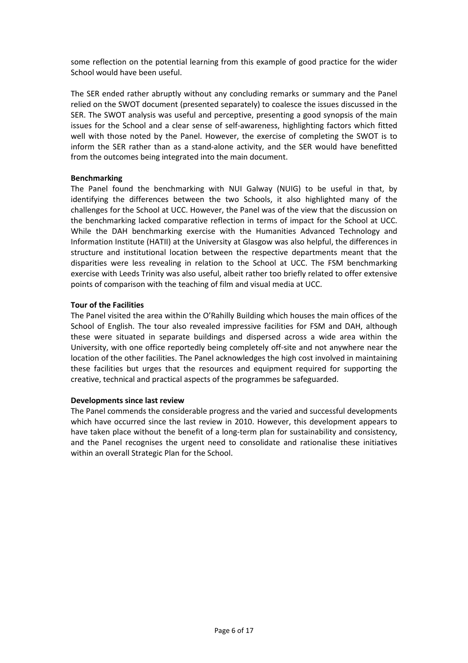some reflection on the potential learning from this example of good practice for the wider School would have been useful.

The SER ended rather abruptly without any concluding remarks or summary and the Panel relied on the SWOT document (presented separately) to coalesce the issues discussed in the SER. The SWOT analysis was useful and perceptive, presenting a good synopsis of the main issues for the School and a clear sense of self-awareness, highlighting factors which fitted well with those noted by the Panel. However, the exercise of completing the SWOT is to inform the SER rather than as a stand-alone activity, and the SER would have benefitted from the outcomes being integrated into the main document.

#### <span id="page-5-0"></span>**Benchmarking**

The Panel found the benchmarking with NUI Galway (NUIG) to be useful in that, by identifying the differences between the two Schools, it also highlighted many of the challenges for the School at UCC. However, the Panel was of the view that the discussion on the benchmarking lacked comparative reflection in terms of impact for the School at UCC. While the DAH benchmarking exercise with the Humanities Advanced Technology and Information Institute (HATII) at the University at Glasgow was also helpful, the differences in structure and institutional location between the respective departments meant that the disparities were less revealing in relation to the School at UCC. The FSM benchmarking exercise with Leeds Trinity was also useful, albeit rather too briefly related to offer extensive points of comparison with the teaching of film and visual media at UCC.

#### <span id="page-5-1"></span>**Tour of the Facilities**

The Panel visited the area within the O'Rahilly Building which houses the main offices of the School of English. The tour also revealed impressive facilities for FSM and DAH, although these were situated in separate buildings and dispersed across a wide area within the University, with one office reportedly being completely off-site and not anywhere near the location of the other facilities. The Panel acknowledges the high cost involved in maintaining these facilities but urges that the resources and equipment required for supporting the creative, technical and practical aspects of the programmes be safeguarded.

#### <span id="page-5-2"></span>**Developments since last review**

The Panel commends the considerable progress and the varied and successful developments which have occurred since the last review in 2010. However, this development appears to have taken place without the benefit of a long-term plan for sustainability and consistency, and the Panel recognises the urgent need to consolidate and rationalise these initiatives within an overall Strategic Plan for the School.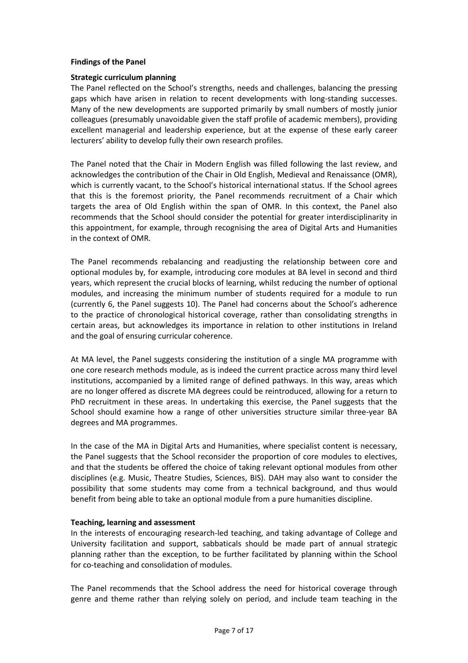#### <span id="page-6-0"></span>**Findings of the Panel**

#### <span id="page-6-1"></span>**Strategic curriculum planning**

The Panel reflected on the School's strengths, needs and challenges, balancing the pressing gaps which have arisen in relation to recent developments with long-standing successes. Many of the new developments are supported primarily by small numbers of mostly junior colleagues (presumably unavoidable given the staff profile of academic members), providing excellent managerial and leadership experience, but at the expense of these early career lecturers' ability to develop fully their own research profiles.

The Panel noted that the Chair in Modern English was filled following the last review, and acknowledges the contribution of the Chair in Old English, Medieval and Renaissance (OMR), which is currently vacant, to the School's historical international status. If the School agrees that this is the foremost priority, the Panel recommends recruitment of a Chair which targets the area of Old English within the span of OMR. In this context, the Panel also recommends that the School should consider the potential for greater interdisciplinarity in this appointment, for example, through recognising the area of Digital Arts and Humanities in the context of OMR.

The Panel recommends rebalancing and readjusting the relationship between core and optional modules by, for example, introducing core modules at BA level in second and third years, which represent the crucial blocks of learning, whilst reducing the number of optional modules, and increasing the minimum number of students required for a module to run (currently 6, the Panel suggests 10). The Panel had concerns about the School's adherence to the practice of chronological historical coverage, rather than consolidating strengths in certain areas, but acknowledges its importance in relation to other institutions in Ireland and the goal of ensuring curricular coherence.

At MA level, the Panel suggests considering the institution of a single MA programme with one core research methods module, as is indeed the current practice across many third level institutions, accompanied by a limited range of defined pathways. In this way, areas which are no longer offered as discrete MA degrees could be reintroduced, allowing for a return to PhD recruitment in these areas. In undertaking this exercise, the Panel suggests that the School should examine how a range of other universities structure similar three-year BA degrees and MA programmes.

In the case of the MA in Digital Arts and Humanities, where specialist content is necessary, the Panel suggests that the School reconsider the proportion of core modules to electives, and that the students be offered the choice of taking relevant optional modules from other disciplines (e.g. Music, Theatre Studies, Sciences, BIS). DAH may also want to consider the possibility that some students may come from a technical background, and thus would benefit from being able to take an optional module from a pure humanities discipline.

#### <span id="page-6-2"></span>**Teaching, learning and assessment**

In the interests of encouraging research-led teaching, and taking advantage of College and University facilitation and support, sabbaticals should be made part of annual strategic planning rather than the exception, to be further facilitated by planning within the School for co-teaching and consolidation of modules.

The Panel recommends that the School address the need for historical coverage through genre and theme rather than relying solely on period, and include team teaching in the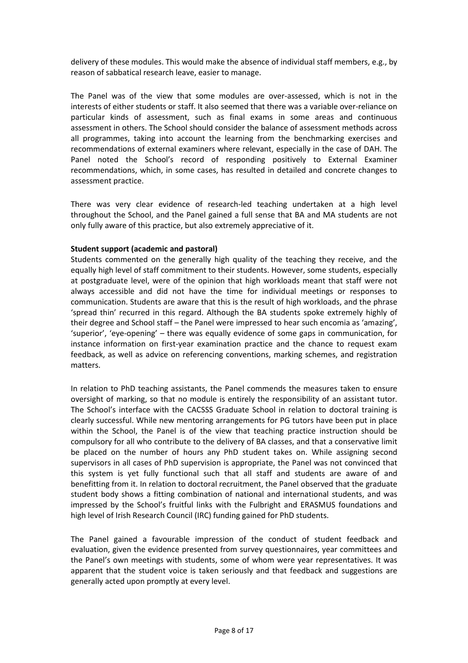delivery of these modules. This would make the absence of individual staff members, e.g., by reason of sabbatical research leave, easier to manage.

The Panel was of the view that some modules are over-assessed, which is not in the interests of either students or staff. It also seemed that there was a variable over-reliance on particular kinds of assessment, such as final exams in some areas and continuous assessment in others. The School should consider the balance of assessment methods across all programmes, taking into account the learning from the benchmarking exercises and recommendations of external examiners where relevant, especially in the case of DAH. The Panel noted the School's record of responding positively to External Examiner recommendations, which, in some cases, has resulted in detailed and concrete changes to assessment practice.

There was very clear evidence of research-led teaching undertaken at a high level throughout the School, and the Panel gained a full sense that BA and MA students are not only fully aware of this practice, but also extremely appreciative of it.

#### <span id="page-7-0"></span>**Student support (academic and pastoral)**

Students commented on the generally high quality of the teaching they receive, and the equally high level of staff commitment to their students. However, some students, especially at postgraduate level, were of the opinion that high workloads meant that staff were not always accessible and did not have the time for individual meetings or responses to communication. Students are aware that this is the result of high workloads, and the phrase 'spread thin' recurred in this regard. Although the BA students spoke extremely highly of their degree and School staff – the Panel were impressed to hear such encomia as 'amazing', 'superior', 'eye-opening' – there was equally evidence of some gaps in communication, for instance information on first-year examination practice and the chance to request exam feedback, as well as advice on referencing conventions, marking schemes, and registration matters.

In relation to PhD teaching assistants, the Panel commends the measures taken to ensure oversight of marking, so that no module is entirely the responsibility of an assistant tutor. The School's interface with the CACSSS Graduate School in relation to doctoral training is clearly successful. While new mentoring arrangements for PG tutors have been put in place within the School, the Panel is of the view that teaching practice instruction should be compulsory for all who contribute to the delivery of BA classes, and that a conservative limit be placed on the number of hours any PhD student takes on. While assigning second supervisors in all cases of PhD supervision is appropriate, the Panel was not convinced that this system is yet fully functional such that all staff and students are aware of and benefitting from it. In relation to doctoral recruitment, the Panel observed that the graduate student body shows a fitting combination of national and international students, and was impressed by the School's fruitful links with the Fulbright and ERASMUS foundations and high level of Irish Research Council (IRC) funding gained for PhD students.

The Panel gained a favourable impression of the conduct of student feedback and evaluation, given the evidence presented from survey questionnaires, year committees and the Panel's own meetings with students, some of whom were year representatives. It was apparent that the student voice is taken seriously and that feedback and suggestions are generally acted upon promptly at every level.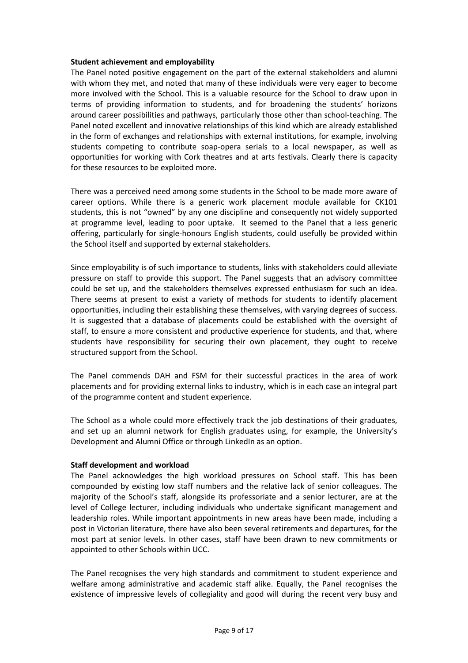#### <span id="page-8-0"></span>**Student achievement and employability**

The Panel noted positive engagement on the part of the external stakeholders and alumni with whom they met, and noted that many of these individuals were very eager to become more involved with the School. This is a valuable resource for the School to draw upon in terms of providing information to students, and for broadening the students' horizons around career possibilities and pathways, particularly those other than school-teaching. The Panel noted excellent and innovative relationships of this kind which are already established in the form of exchanges and relationships with external institutions, for example, involving students competing to contribute soap-opera serials to a local newspaper, as well as opportunities for working with Cork theatres and at arts festivals. Clearly there is capacity for these resources to be exploited more.

There was a perceived need among some students in the School to be made more aware of career options. While there is a generic work placement module available for CK101 students, this is not "owned" by any one discipline and consequently not widely supported at programme level, leading to poor uptake. It seemed to the Panel that a less generic offering, particularly for single-honours English students, could usefully be provided within the School itself and supported by external stakeholders.

Since employability is of such importance to students, links with stakeholders could alleviate pressure on staff to provide this support. The Panel suggests that an advisory committee could be set up, and the stakeholders themselves expressed enthusiasm for such an idea. There seems at present to exist a variety of methods for students to identify placement opportunities, including their establishing these themselves, with varying degrees of success. It is suggested that a database of placements could be established with the oversight of staff, to ensure a more consistent and productive experience for students, and that, where students have responsibility for securing their own placement, they ought to receive structured support from the School.

The Panel commends DAH and FSM for their successful practices in the area of work placements and for providing external links to industry, which is in each case an integral part of the programme content and student experience.

The School as a whole could more effectively track the job destinations of their graduates, and set up an alumni network for English graduates using, for example, the University's Development and Alumni Office or through LinkedIn as an option.

#### <span id="page-8-1"></span>**Staff development and workload**

The Panel acknowledges the high workload pressures on School staff. This has been compounded by existing low staff numbers and the relative lack of senior colleagues. The majority of the School's staff, alongside its professoriate and a senior lecturer, are at the level of College lecturer, including individuals who undertake significant management and leadership roles. While important appointments in new areas have been made, including a post in Victorian literature, there have also been several retirements and departures, for the most part at senior levels. In other cases, staff have been drawn to new commitments or appointed to other Schools within UCC.

The Panel recognises the very high standards and commitment to student experience and welfare among administrative and academic staff alike. Equally, the Panel recognises the existence of impressive levels of collegiality and good will during the recent very busy and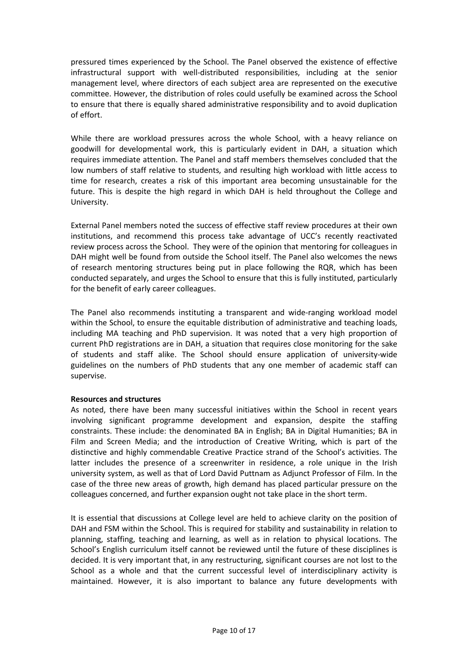pressured times experienced by the School. The Panel observed the existence of effective infrastructural support with well-distributed responsibilities, including at the senior management level, where directors of each subject area are represented on the executive committee. However, the distribution of roles could usefully be examined across the School to ensure that there is equally shared administrative responsibility and to avoid duplication of effort.

While there are workload pressures across the whole School, with a heavy reliance on goodwill for developmental work, this is particularly evident in DAH, a situation which requires immediate attention. The Panel and staff members themselves concluded that the low numbers of staff relative to students, and resulting high workload with little access to time for research, creates a risk of this important area becoming unsustainable for the future. This is despite the high regard in which DAH is held throughout the College and University.

External Panel members noted the success of effective staff review procedures at their own institutions, and recommend this process take advantage of UCC's recently reactivated review process across the School. They were of the opinion that mentoring for colleagues in DAH might well be found from outside the School itself. The Panel also welcomes the news of research mentoring structures being put in place following the RQR, which has been conducted separately, and urges the School to ensure that this is fully instituted, particularly for the benefit of early career colleagues.

The Panel also recommends instituting a transparent and wide-ranging workload model within the School, to ensure the equitable distribution of administrative and teaching loads, including MA teaching and PhD supervision. It was noted that a very high proportion of current PhD registrations are in DAH, a situation that requires close monitoring for the sake of students and staff alike. The School should ensure application of university-wide guidelines on the numbers of PhD students that any one member of academic staff can supervise.

#### <span id="page-9-0"></span>**Resources and structures**

As noted, there have been many successful initiatives within the School in recent years involving significant programme development and expansion, despite the staffing constraints. These include: the denominated BA in English; BA in Digital Humanities; BA in Film and Screen Media; and the introduction of Creative Writing, which is part of the distinctive and highly commendable Creative Practice strand of the School's activities. The latter includes the presence of a screenwriter in residence, a role unique in the Irish university system, as well as that of Lord David Puttnam as Adjunct Professor of Film. In the case of the three new areas of growth, high demand has placed particular pressure on the colleagues concerned, and further expansion ought not take place in the short term.

It is essential that discussions at College level are held to achieve clarity on the position of DAH and FSM within the School. This is required for stability and sustainability in relation to planning, staffing, teaching and learning, as well as in relation to physical locations. The School's English curriculum itself cannot be reviewed until the future of these disciplines is decided. It is very important that, in any restructuring, significant courses are not lost to the School as a whole and that the current successful level of interdisciplinary activity is maintained. However, it is also important to balance any future developments with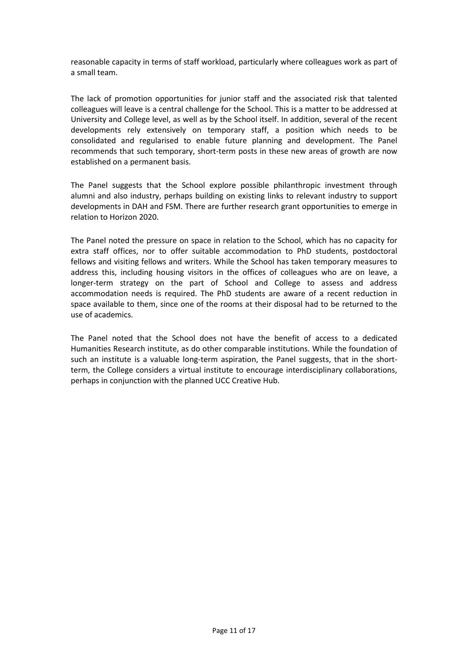reasonable capacity in terms of staff workload, particularly where colleagues work as part of a small team.

The lack of promotion opportunities for junior staff and the associated risk that talented colleagues will leave is a central challenge for the School. This is a matter to be addressed at University and College level, as well as by the School itself. In addition, several of the recent developments rely extensively on temporary staff, a position which needs to be consolidated and regularised to enable future planning and development. The Panel recommends that such temporary, short-term posts in these new areas of growth are now established on a permanent basis.

The Panel suggests that the School explore possible philanthropic investment through alumni and also industry, perhaps building on existing links to relevant industry to support developments in DAH and FSM. There are further research grant opportunities to emerge in relation to Horizon 2020.

The Panel noted the pressure on space in relation to the School, which has no capacity for extra staff offices, nor to offer suitable accommodation to PhD students, postdoctoral fellows and visiting fellows and writers. While the School has taken temporary measures to address this, including housing visitors in the offices of colleagues who are on leave, a longer-term strategy on the part of School and College to assess and address accommodation needs is required. The PhD students are aware of a recent reduction in space available to them, since one of the rooms at their disposal had to be returned to the use of academics.

The Panel noted that the School does not have the benefit of access to a dedicated Humanities Research institute, as do other comparable institutions. While the foundation of such an institute is a valuable long-term aspiration, the Panel suggests, that in the shortterm, the College considers a virtual institute to encourage interdisciplinary collaborations, perhaps in conjunction with the planned UCC Creative Hub.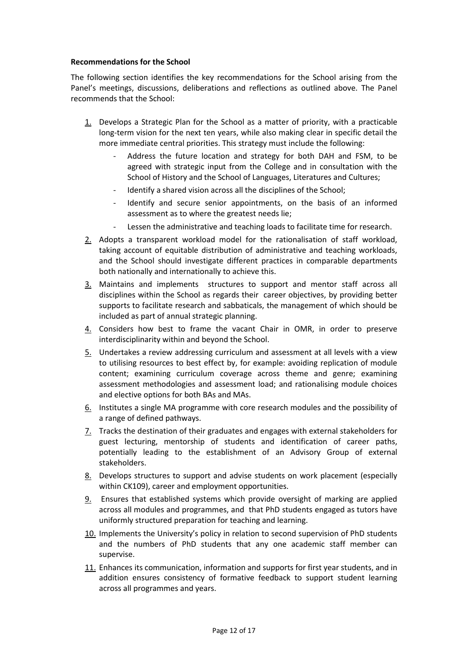#### <span id="page-11-0"></span>**Recommendations for the School**

The following section identifies the key recommendations for the School arising from the Panel's meetings, discussions, deliberations and reflections as outlined above. The Panel recommends that the School:

- 1. Develops a Strategic Plan for the School as a matter of priority, with a practicable long-term vision for the next ten years, while also making clear in specific detail the more immediate central priorities. This strategy must include the following:
	- Address the future location and strategy for both DAH and FSM, to be agreed with strategic input from the College and in consultation with the School of History and the School of Languages, Literatures and Cultures;
	- Identify a shared vision across all the disciplines of the School;
	- Identify and secure senior appointments, on the basis of an informed assessment as to where the greatest needs lie;
	- Lessen the administrative and teaching loads to facilitate time for research.
- 2. Adopts a transparent workload model for the rationalisation of staff workload, taking account of equitable distribution of administrative and teaching workloads, and the School should investigate different practices in comparable departments both nationally and internationally to achieve this.
- 3. Maintains and implements structures to support and mentor staff across all disciplines within the School as regards their career objectives, by providing better supports to facilitate research and sabbaticals, the management of which should be included as part of annual strategic planning.
- 4. Considers how best to frame the vacant Chair in OMR, in order to preserve interdisciplinarity within and beyond the School.
- 5. Undertakes a review addressing curriculum and assessment at all levels with a view to utilising resources to best effect by, for example: avoiding replication of module content; examining curriculum coverage across theme and genre; examining assessment methodologies and assessment load; and rationalising module choices and elective options for both BAs and MAs.
- 6. Institutes a single MA programme with core research modules and the possibility of a range of defined pathways.
- 7. Tracks the destination of their graduates and engages with external stakeholders for guest lecturing, mentorship of students and identification of career paths, potentially leading to the establishment of an Advisory Group of external stakeholders.
- 8. Develops structures to support and advise students on work placement (especially within CK109), career and employment opportunities.
- 9. Ensures that established systems which provide oversight of marking are applied across all modules and programmes, and that PhD students engaged as tutors have uniformly structured preparation for teaching and learning.
- 10. Implements the University's policy in relation to second supervision of PhD students and the numbers of PhD students that any one academic staff member can supervise.
- 11. Enhances its communication, information and supports for first year students, and in addition ensures consistency of formative feedback to support student learning across all programmes and years.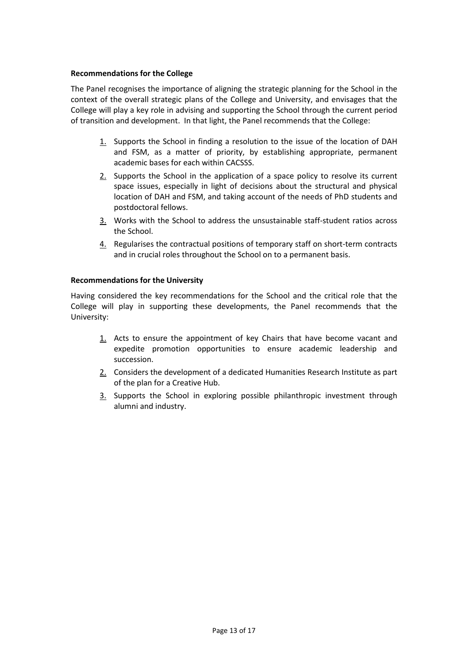#### <span id="page-12-0"></span>**Recommendations for the College**

The Panel recognises the importance of aligning the strategic planning for the School in the context of the overall strategic plans of the College and University, and envisages that the College will play a key role in advising and supporting the School through the current period of transition and development. In that light, the Panel recommends that the College:

- 1. Supports the School in finding a resolution to the issue of the location of DAH and FSM, as a matter of priority, by establishing appropriate, permanent academic bases for each within CACSSS.
- $2.$  Supports the School in the application of a space policy to resolve its current space issues, especially in light of decisions about the structural and physical location of DAH and FSM, and taking account of the needs of PhD students and postdoctoral fellows.
- 3. Works with the School to address the unsustainable staff-student ratios across the School.
- 4. Regularises the contractual positions of temporary staff on short-term contracts and in crucial roles throughout the School on to a permanent basis.

#### <span id="page-12-1"></span>**Recommendations for the University**

Having considered the key recommendations for the School and the critical role that the College will play in supporting these developments, the Panel recommends that the University:

- 1. Acts to ensure the appointment of key Chairs that have become vacant and expedite promotion opportunities to ensure academic leadership and succession.
- 2. Considers the development of a dedicated Humanities Research Institute as part of the plan for a Creative Hub.
- 3. Supports the School in exploring possible philanthropic investment through alumni and industry.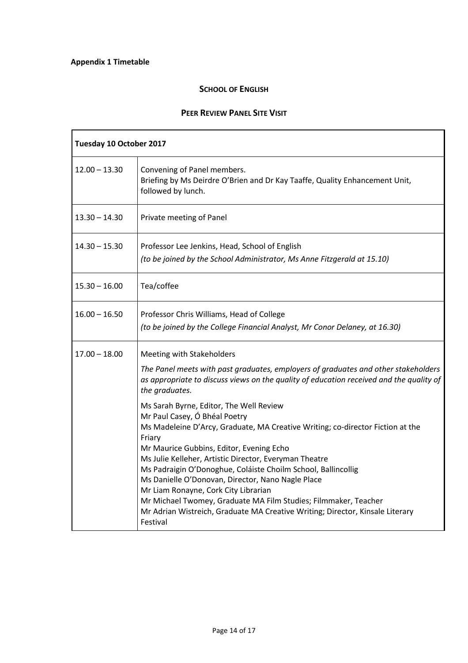#### **SCHOOL OF ENGLISH**

#### **PEER REVIEW PANEL SITE VISIT**

<span id="page-13-0"></span>

| Tuesday 10 October 2017 |                                                                                                                                                                                                                                                                                                                                                                                                                                                                                                                                                                                                                                                                                                                                                                                                                                          |  |
|-------------------------|------------------------------------------------------------------------------------------------------------------------------------------------------------------------------------------------------------------------------------------------------------------------------------------------------------------------------------------------------------------------------------------------------------------------------------------------------------------------------------------------------------------------------------------------------------------------------------------------------------------------------------------------------------------------------------------------------------------------------------------------------------------------------------------------------------------------------------------|--|
| $12.00 - 13.30$         | Convening of Panel members.<br>Briefing by Ms Deirdre O'Brien and Dr Kay Taaffe, Quality Enhancement Unit,<br>followed by lunch.                                                                                                                                                                                                                                                                                                                                                                                                                                                                                                                                                                                                                                                                                                         |  |
| 13.30 - 14.30           | Private meeting of Panel                                                                                                                                                                                                                                                                                                                                                                                                                                                                                                                                                                                                                                                                                                                                                                                                                 |  |
| $14.30 - 15.30$         | Professor Lee Jenkins, Head, School of English<br>(to be joined by the School Administrator, Ms Anne Fitzgerald at 15.10)                                                                                                                                                                                                                                                                                                                                                                                                                                                                                                                                                                                                                                                                                                                |  |
| $15.30 - 16.00$         | Tea/coffee                                                                                                                                                                                                                                                                                                                                                                                                                                                                                                                                                                                                                                                                                                                                                                                                                               |  |
| $16.00 - 16.50$         | Professor Chris Williams, Head of College<br>(to be joined by the College Financial Analyst, Mr Conor Delaney, at 16.30)                                                                                                                                                                                                                                                                                                                                                                                                                                                                                                                                                                                                                                                                                                                 |  |
| $17.00 - 18.00$         | Meeting with Stakeholders<br>The Panel meets with past graduates, employers of graduates and other stakeholders<br>as appropriate to discuss views on the quality of education received and the quality of<br>the graduates.<br>Ms Sarah Byrne, Editor, The Well Review<br>Mr Paul Casey, Ó Bhéal Poetry<br>Ms Madeleine D'Arcy, Graduate, MA Creative Writing; co-director Fiction at the<br>Friary<br>Mr Maurice Gubbins, Editor, Evening Echo<br>Ms Julie Kelleher, Artistic Director, Everyman Theatre<br>Ms Padraigin O'Donoghue, Coláiste Choilm School, Ballincollig<br>Ms Danielle O'Donovan, Director, Nano Nagle Place<br>Mr Liam Ronayne, Cork City Librarian<br>Mr Michael Twomey, Graduate MA Film Studies; Filmmaker, Teacher<br>Mr Adrian Wistreich, Graduate MA Creative Writing; Director, Kinsale Literary<br>Festival |  |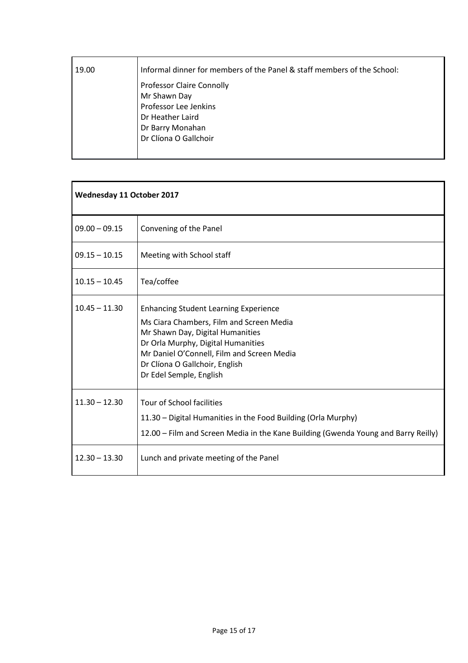| 19.00 | Informal dinner for members of the Panel & staff members of the School: |  |
|-------|-------------------------------------------------------------------------|--|
|       | <b>Professor Claire Connolly</b>                                        |  |
|       | Mr Shawn Day                                                            |  |
|       | Professor Lee Jenkins                                                   |  |
|       | Dr Heather Laird                                                        |  |
|       | Dr Barry Monahan                                                        |  |
|       | Dr Clíona O Gallchoir                                                   |  |
|       |                                                                         |  |

| <b>Wednesday 11 October 2017</b> |                                                                                                                                                                                                                                                                               |
|----------------------------------|-------------------------------------------------------------------------------------------------------------------------------------------------------------------------------------------------------------------------------------------------------------------------------|
| $09.00 - 09.15$                  | Convening of the Panel                                                                                                                                                                                                                                                        |
| $09.15 - 10.15$                  | Meeting with School staff                                                                                                                                                                                                                                                     |
| $10.15 - 10.45$                  | Tea/coffee                                                                                                                                                                                                                                                                    |
| $10.45 - 11.30$                  | <b>Enhancing Student Learning Experience</b><br>Ms Ciara Chambers, Film and Screen Media<br>Mr Shawn Day, Digital Humanities<br>Dr Orla Murphy, Digital Humanities<br>Mr Daniel O'Connell, Film and Screen Media<br>Dr Clíona O Gallchoir, English<br>Dr Edel Semple, English |
| $11.30 - 12.30$                  | <b>Tour of School facilities</b><br>11.30 - Digital Humanities in the Food Building (Orla Murphy)<br>12.00 - Film and Screen Media in the Kane Building (Gwenda Young and Barry Reilly)                                                                                       |
| $12.30 - 13.30$                  | Lunch and private meeting of the Panel                                                                                                                                                                                                                                        |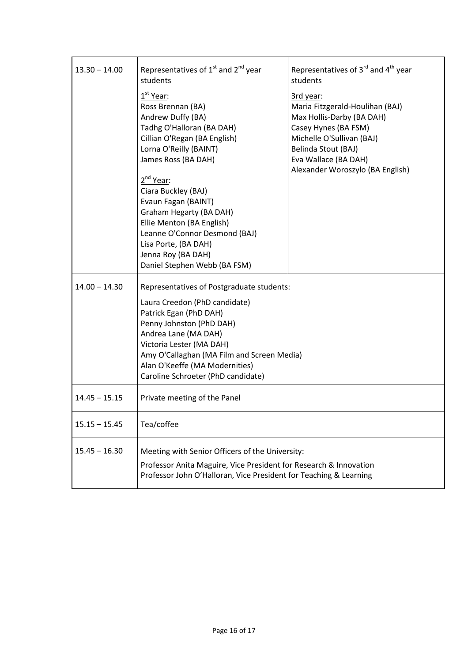| $13.30 - 14.00$ | Representatives of $1^{st}$ and $2^{nd}$ year<br>students                                                                                                                                                                                                                                                                                                                                                                   | Representatives of $3^{rd}$ and $4^{th}$ year<br>students                                                                                                                                                         |
|-----------------|-----------------------------------------------------------------------------------------------------------------------------------------------------------------------------------------------------------------------------------------------------------------------------------------------------------------------------------------------------------------------------------------------------------------------------|-------------------------------------------------------------------------------------------------------------------------------------------------------------------------------------------------------------------|
|                 | 1 <sup>st</sup> Year:<br>Ross Brennan (BA)<br>Andrew Duffy (BA)<br>Tadhg O'Halloran (BA DAH)<br>Cillian O'Regan (BA English)<br>Lorna O'Reilly (BAINT)<br>James Ross (BA DAH)<br>2 <sup>nd</sup> Year:<br>Ciara Buckley (BAJ)<br>Evaun Fagan (BAINT)<br>Graham Hegarty (BA DAH)<br>Ellie Menton (BA English)<br>Leanne O'Connor Desmond (BAJ)<br>Lisa Porte, (BA DAH)<br>Jenna Roy (BA DAH)<br>Daniel Stephen Webb (BA FSM) | 3rd year:<br>Maria Fitzgerald-Houlihan (BAJ)<br>Max Hollis-Darby (BA DAH)<br>Casey Hynes (BA FSM)<br>Michelle O'Sullivan (BAJ)<br>Belinda Stout (BAJ)<br>Eva Wallace (BA DAH)<br>Alexander Woroszylo (BA English) |
| $14.00 - 14.30$ | Representatives of Postgraduate students:<br>Laura Creedon (PhD candidate)<br>Patrick Egan (PhD DAH)<br>Penny Johnston (PhD DAH)<br>Andrea Lane (MA DAH)<br>Victoria Lester (MA DAH)<br>Amy O'Callaghan (MA Film and Screen Media)<br>Alan O'Keeffe (MA Modernities)<br>Caroline Schroeter (PhD candidate)                                                                                                                  |                                                                                                                                                                                                                   |
| $14.45 - 15.15$ | Private meeting of the Panel                                                                                                                                                                                                                                                                                                                                                                                                |                                                                                                                                                                                                                   |
| $15.15 - 15.45$ | Tea/coffee                                                                                                                                                                                                                                                                                                                                                                                                                  |                                                                                                                                                                                                                   |
| $15.45 - 16.30$ | Meeting with Senior Officers of the University:<br>Professor Anita Maguire, Vice President for Research & Innovation<br>Professor John O'Halloran, Vice President for Teaching & Learning                                                                                                                                                                                                                                   |                                                                                                                                                                                                                   |